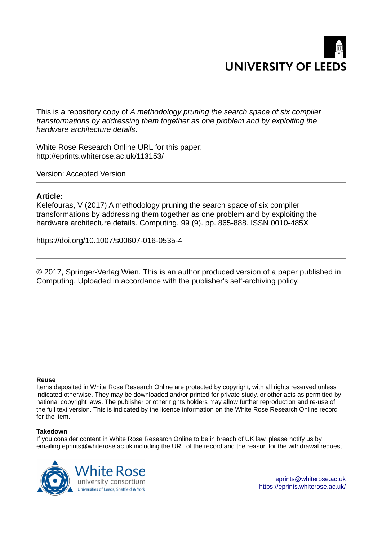

This is a repository copy of *A methodology pruning the search space of six compiler transformations by addressing them together as one problem and by exploiting the hardware architecture details*.

White Rose Research Online URL for this paper: http://eprints.whiterose.ac.uk/113153/

Version: Accepted Version

# **Article:**

Kelefouras, V (2017) A methodology pruning the search space of six compiler transformations by addressing them together as one problem and by exploiting the hardware architecture details. Computing, 99 (9). pp. 865-888. ISSN 0010-485X

https://doi.org/10.1007/s00607-016-0535-4

© 2017, Springer-Verlag Wien. This is an author produced version of a paper published in Computing. Uploaded in accordance with the publisher's self-archiving policy.

# **Reuse**

Items deposited in White Rose Research Online are protected by copyright, with all rights reserved unless indicated otherwise. They may be downloaded and/or printed for private study, or other acts as permitted by national copyright laws. The publisher or other rights holders may allow further reproduction and re-use of the full text version. This is indicated by the licence information on the White Rose Research Online record for the item.

# **Takedown**

If you consider content in White Rose Research Online to be in breach of UK law, please notify us by emailing eprints@whiterose.ac.uk including the URL of the record and the reason for the withdrawal request.



[eprints@whiterose.ac.uk](mailto:eprints@whiterose.ac.uk) <https://eprints.whiterose.ac.uk/>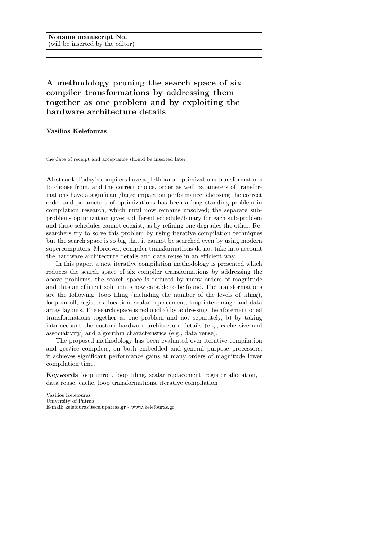# A methodology pruning the search space of six compiler transformations by addressing them together as one problem and by exploiting the hardware architecture details

Vasilios Kelefouras

the date of receipt and acceptance should be inserted later

Abstract Today's compilers have a plethora of optimizations-transformations to choose from, and the correct choice, order as well parameters of transformations have a significant/large impact on performance; choosing the correct order and parameters of optimizations has been a long standing problem in compilation research, which until now remains unsolved; the separate subproblems optimization gives a different schedule/binary for each sub-problem and these schedules cannot coexist, as by refining one degrades the other. Researchers try to solve this problem by using iterative compilation techniques but the search space is so big that it cannot be searched even by using modern supercomputers. Moreover, compiler transformations do not take into account the hardware architecture details and data reuse in an efficient way.

In this paper, a new iterative compilation methodology is presented which reduces the search space of six compiler transformations by addressing the above problems; the search space is reduced by many orders of magnitude and thus an efficient solution is now capable to be found. The transformations are the following: loop tiling (including the number of the levels of tiling), loop unroll, register allocation, scalar replacement, loop interchange and data array layouts. The search space is reduced a) by addressing the aforementioned transformations together as one problem and not separately, b) by taking into account the custom hardware architecture details (e.g., cache size and associativity) and algorithm characteristics (e.g., data reuse).

The proposed methodology has been evaluated over iterative compilation and gcc/icc compilers, on both embedded and general purpose processors; it achieves significant performance gains at many orders of magnitude lower compilation time.

Keywords loop unroll, loop tiling, scalar replacement, register allocation, data reuse, cache, loop transformations, iterative compilation

Vasilios Kelefouras

University of Patras

E-mail: kelefouras@ece.upatras.gr - www.kelefouras.gr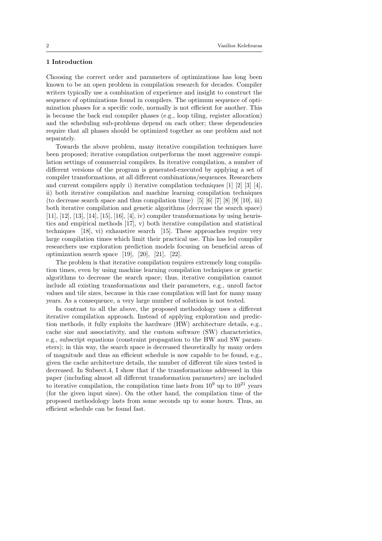## 1 Introduction

Choosing the correct order and parameters of optimizations has long been known to be an open problem in compilation research for decades. Compiler writers typically use a combination of experience and insight to construct the sequence of optimizations found in compilers. The optimum sequence of optimization phases for a specific code, normally is not efficient for another. This is because the back end compiler phases (e.g., loop tiling, register allocation) and the scheduling sub-problems depend on each other; these dependencies require that all phases should be optimized together as one problem and not separately.

Towards the above problem, many iterative compilation techniques have been proposed; iterative compilation outperforms the most aggressive compilation settings of commercial compilers. In iterative compilation, a number of different versions of the program is generated-executed by applying a set of compiler transformations, at all different combinations/sequences. Researchers and current compilers apply i) iterative compilation techniques [1] [2] [3] [4], ii) both iterative compilation and machine learning compilation techniques (to decrease search space and thus compilation time) [5]  $[6]$   $[7]$   $[8]$   $[9]$   $[10]$ , iii) both iterative compilation and genetic algorithms (decrease the search space)  $[11], [12], [13], [14], [15], [16], [4], iv$  compiler transformations by using heuristics and empirical methods [17], v) both iterative compilation and statistical techniques [18], vi) exhaustive search [15]. These approaches require very large compilation times which limit their practical use. This has led compiler researchers use exploration prediction models focusing on beneficial areas of optimization search space [19], [20], [21], [22].

The problem is that iterative compilation requires extremely long compilation times, even by using machine learning compilation techniques or genetic algorithms to decrease the search space; thus, iterative compilation cannot include all existing transformations and their parameters, e.g., unroll factor values and tile sizes, because in this case compilation will last for many many years. As a consequence, a very large number of solutions is not tested.

In contrast to all the above, the proposed methodology uses a different iterative compilation approach. Instead of applying exploration and prediction methods, it fully exploits the hardware (HW) architecture details, e.g., cache size and associativity, and the custom software (SW) characteristics, e.g., subscript equations (constraint propagation to the HW and SW parameters); in this way, the search space is decreased theoretically by many orders of magnitude and thus an efficient schedule is now capable to be found, e.g., given the cache architecture details, the number of different tile sizes tested is decreased. In Subsect.4, I show that if the transformations addressed in this paper (including almost all different transformation parameters) are included to iterative compilation, the compilation time lasts from  $10^9$  up to  $10^{21}$  years (for the given input sizes). On the other hand, the compilation time of the proposed methodology lasts from some seconds up to some hours. Thus, an efficient schedule can be found fast.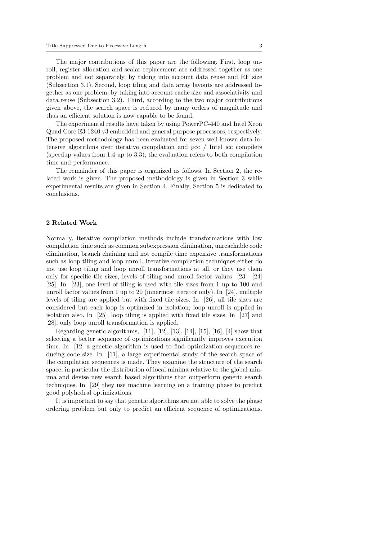The major contributions of this paper are the following. First, loop unroll, register allocation and scalar replacement are addressed together as one problem and not separately, by taking into account data reuse and RF size (Subsection 3.1). Second, loop tiling and data array layouts are addressed together as one problem, by taking into account cache size and associativity and data reuse (Subsection 3.2). Third, according to the two major contributions given above, the search space is reduced by many orders of magnitude and thus an efficient solution is now capable to be found.

The experimental results have taken by using PowerPC-440 and Intel Xeon Quad Core E3-1240 v3 embedded and general purpose processors, respectively. The proposed methodology has been evaluated for seven well-known data intensive algorithms over iterative compilation and gcc / Intel icc compilers (speedup values from 1.4 up to 3.3); the evaluation refers to both compilation time and performance.

The remainder of this paper is organized as follows. In Section 2, the related work is given. The proposed methodology is given in Section 3 while experimental results are given in Section 4. Finally, Section 5 is dedicated to conclusions.

#### 2 Related Work

Normally, iterative compilation methods include transformations with low compilation time such as common subexpression elimination, unreachable code elimination, branch chaining and not compile time expensive transformations such as loop tiling and loop unroll. Iterative compilation techniques either do not use loop tiling and loop unroll transformations at all, or they use them only for specific tile sizes, levels of tiling and unroll factor values [23] [24] [25]. In [23], one level of tiling is used with tile sizes from 1 up to 100 and unroll factor values from 1 up to 20 (innermost iterator only). In [24], multiple levels of tiling are applied but with fixed tile sizes. In [26], all tile sizes are considered but each loop is optimized in isolation; loop unroll is applied in isolation also. In [25], loop tiling is applied with fixed tile sizes. In [27] and [28], only loop unroll transformation is applied.

Regarding genetic algorithms, [11], [12], [13], [14], [15], [16], [4] show that selecting a better sequence of optimizations significantly improves execution time. In [12] a genetic algorithm is used to find optimization sequences reducing code size. In [11], a large experimental study of the search space of the compilation sequences is made. They examine the structure of the search space, in particular the distribution of local minima relative to the global minima and devise new search based algorithms that outperform generic search techniques. In [29] they use machine learning on a training phase to predict good polyhedral optimizations.

It is important to say that genetic algorithms are not able to solve the phase ordering problem but only to predict an efficient sequence of optimizations.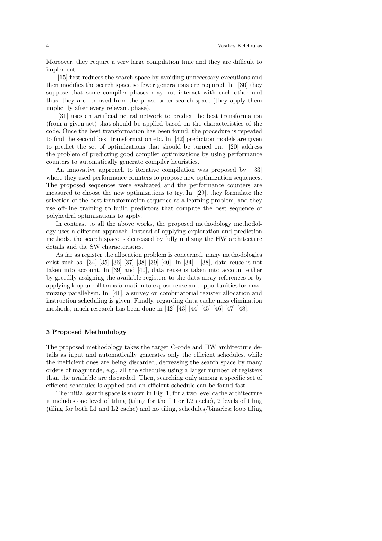Moreover, they require a very large compilation time and they are difficult to implement.

[15] first reduces the search space by avoiding unnecessary executions and then modifies the search space so fewer generations are required. In [30] they suppose that some compiler phases may not interact with each other and thus, they are removed from the phase order search space (they apply them implicitly after every relevant phase).

[31] uses an artificial neural network to predict the best transformation (from a given set) that should be applied based on the characteristics of the code. Once the best transformation has been found, the procedure is repeated to find the second best transformation etc. In [32] prediction models are given to predict the set of optimizations that should be turned on. [20] address the problem of predicting good compiler optimizations by using performance counters to automatically generate compiler heuristics.

An innovative approach to iterative compilation was proposed by [33] where they used performance counters to propose new optimization sequences. The proposed sequences were evaluated and the performance counters are measured to choose the new optimizations to try. In [29], they formulate the selection of the best transformation sequence as a learning problem, and they use off-line training to build predictors that compute the best sequence of polyhedral optimizations to apply.

In contrast to all the above works, the proposed methodology methodology uses a different approach. Instead of applying exploration and prediction methods, the search space is decreased by fully utilizing the HW architecture details and the SW characteristics.

As far as register the allocation problem is concerned, many methodologies exist such as [34] [35] [36] [37] [38] [39] [40]. In [34] - [38], data reuse is not taken into account. In [39] and [40], data reuse is taken into account either by greedily assigning the available registers to the data array references or by applying loop unroll transformation to expose reuse and opportunities for maximizing parallelism. In [41], a survey on combinatorial register allocation and instruction scheduling is given. Finally, regarding data cache miss elimination methods, much research has been done in [42] [43] [44] [45] [46] [47] [48].

#### 3 Proposed Methodology

The proposed methodology takes the target C-code and HW architecture details as input and automatically generates only the efficient schedules, while the inefficient ones are being discarded, decreasing the search space by many orders of magnitude, e.g., all the schedules using a larger number of registers than the available are discarded. Then, searching only among a specific set of efficient schedules is applied and an efficient schedule can be found fast.

The initial search space is shown in Fig. 1; for a two level cache architecture it includes one level of tiling (tiling for the L1 or L2 cache), 2 levels of tiling (tiling for both L1 and L2 cache) and no tiling, schedules/binaries; loop tiling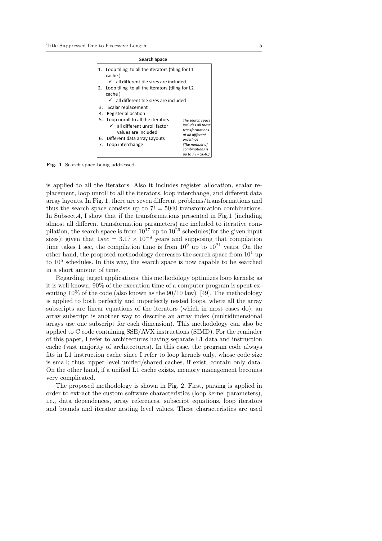|                                                                 |    | <b>Search Space</b>                                                                                                                                                                  |  |  |  |  |  |  |  |
|-----------------------------------------------------------------|----|--------------------------------------------------------------------------------------------------------------------------------------------------------------------------------------|--|--|--|--|--|--|--|
|                                                                 | 1. | Loop tiling to all the iterators (tiling for L1<br>cache)                                                                                                                            |  |  |  |  |  |  |  |
|                                                                 |    | $\checkmark$ all different tile sizes are included                                                                                                                                   |  |  |  |  |  |  |  |
| Loop tiling to all the iterators (tiling for L2<br>2.<br>cache) |    |                                                                                                                                                                                      |  |  |  |  |  |  |  |
|                                                                 |    | $\checkmark$ all different tile sizes are included                                                                                                                                   |  |  |  |  |  |  |  |
|                                                                 | 3. | Scalar replacement                                                                                                                                                                   |  |  |  |  |  |  |  |
|                                                                 | 4. | Register allocation                                                                                                                                                                  |  |  |  |  |  |  |  |
|                                                                 | 5. | Loop unroll to all the iterators<br>The search space<br>includes all these<br>$\checkmark$ all different unroll factor<br>transformations<br>values are included<br>at all different |  |  |  |  |  |  |  |
|                                                                 |    | 6. Different data array Layouts<br>orderings                                                                                                                                         |  |  |  |  |  |  |  |
|                                                                 | 7. | (The number of<br>Loop interchange<br>combinations is<br>up to $7! = 5040$                                                                                                           |  |  |  |  |  |  |  |

Fig. 1 Search space being addressed.

is applied to all the iterators. Also it includes register allocation, scalar replacement, loop unroll to all the iterators, loop interchange, and different data array layouts. In Fig. 1, there are seven different problems/transformations and thus the search space consists up to  $7! = 5040$  transformation combinations. In Subsect.4, I show that if the transformations presented in Fig.1 (including almost all different transformation parameters) are included to iterative compilation, the search space is from  $10^{17}$  up to  $10^{29}$  schedules(for the given input sizes); given that  $1\sec = 3.17 \times 10^{-8}$  years and supposing that compilation time takes 1 sec, the compilation time is from  $10^9$  up to  $10^{21}$  years. On the other hand, the proposed methodology decreases the search space from  $10<sup>1</sup>$  up to  $10^5$  schedules. In this way, the search space is now capable to be searched in a short amount of time.

Regarding target applications, this methodology optimizes loop kernels; as it is well known, 90% of the execution time of a computer program is spent executing 10% of the code (also known as the  $90/10$  law) [49]. The methodology is applied to both perfectly and imperfectly nested loops, where all the array subscripts are linear equations of the iterators (which in most cases do); an array subscript is another way to describe an array index (multidimensional arrays use one subscript for each dimension). This methodology can also be applied to C code containing SSE/AVX instructions (SIMD). For the reminder of this paper, I refer to architectures having separate L1 data and instruction cache (vast majority of architectures). In this case, the program code always fits in L1 instruction cache since I refer to loop kernels only, whose code size is small; thus, upper level unified/shared caches, if exist, contain only data. On the other hand, if a unified L1 cache exists, memory management becomes very complicated.

The proposed methodology is shown in Fig. 2. First, parsing is applied in order to extract the custom software characteristics (loop kernel parameters), i.e., data dependences, array references, subscript equations, loop iterators and bounds and iterator nesting level values. These characteristics are used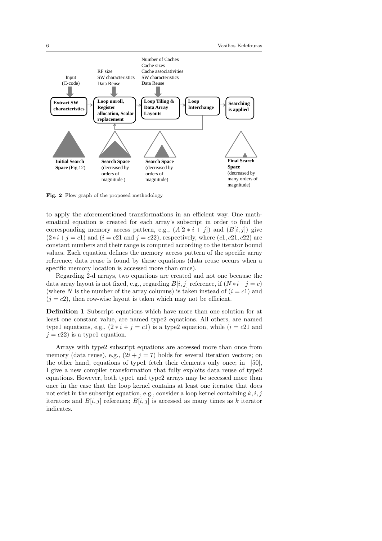

Fig. 2 Flow graph of the proposed methodology

to apply the aforementioned transformations in an efficient way. One mathematical equation is created for each array's subscript in order to find the corresponding memory access pattern, e.g.,  $(A[2 * i + j])$  and  $(B[i, j])$  give  $(2*i + j = c1)$  and  $(i = c21$  and  $j = c22$ ), respectively, where  $(c1, c21, c22)$  are constant numbers and their range is computed according to the iterator bound values. Each equation defines the memory access pattern of the specific array reference; data reuse is found by these equations (data reuse occurs when a specific memory location is accessed more than once).

Regarding 2-d arrays, two equations are created and not one because the data array layout is not fixed, e.g., regarding  $B[i, j]$  reference, if  $(N * i + j = c)$ (where N is the number of the array columns) is taken instead of  $(i = c1)$  and  $(j = c2)$ , then row-wise layout is taken which may not be efficient.

Definition 1 Subscript equations which have more than one solution for at least one constant value, are named type2 equations. All others, are named type1 equations, e.g.,  $(2 * i + j = c1)$  is a type2 equation, while  $(i = c21$  and  $j = c22$  is a type1 equation.

Arrays with type2 subscript equations are accessed more than once from memory (data reuse), e.g.,  $(2i + j = 7)$  holds for several iteration vectors; on the other hand, equations of type1 fetch their elements only once; in [50], I give a new compiler transformation that fully exploits data reuse of type2 equations. However, both type1 and type2 arrays may be accessed more than once in the case that the loop kernel contains at least one iterator that does not exist in the subscript equation, e.g., consider a loop kernel containing  $k, i, j$ iterators and  $B[i, j]$  reference;  $B[i, j]$  is accessed as many times as k iterator indicates.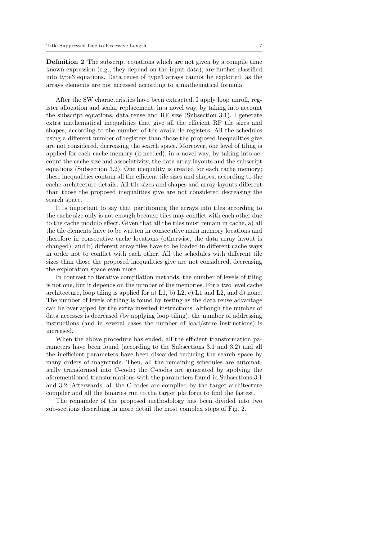Definition 2 The subscript equations which are not given by a compile time known expression (e.g., they depend on the input data), are further classified into type3 equations. Data reuse of type3 arrays cannot be exploited, as the arrays elements are not accessed according to a mathematical formula.

After the SW characteristics have been extracted, I apply loop unroll, register allocation and scalar replacement, in a novel way, by taking into account the subscript equations, data reuse and RF size (Subsection 3.1). I generate extra mathematical inequalities that give all the efficient RF tile sizes and shapes, according to the number of the available registers. All the schedules using a different number of registers than those the proposed inequalities give are not considered, decreasing the search space. Moreover, one level of tiling is applied for each cache memory (if needed), in a novel way, by taking into account the cache size and associativity, the data array layouts and the subscript equations (Subsection 3.2). One inequality is created for each cache memory; these inequalities contain all the efficient tile sizes and shapes, according to the cache architecture details. All tile sizes and shapes and array layouts different than those the proposed inequalities give are not considered decreasing the search space.

It is important to say that partitioning the arrays into tiles according to the cache size only is not enough because tiles may conflict with each other due to the cache modulo effect. Given that all the tiles must remain in cache, a) all the tile elements have to be written in consecutive main memory locations and therefore in consecutive cache locations (otherwise, the data array layout is changed), and b) different array tiles have to be loaded in different cache ways in order not to conflict with each other. All the schedules with different tile sizes than those the proposed inequalities give are not considered, decreasing the exploration space even more.

In contrast to iterative compilation methods, the number of levels of tiling is not one, but it depends on the number of the memories. For a two level cache architecture, loop tiling is applied for a)  $L_1$ , b)  $L_2$ , c)  $L_1$  and  $L_2$ , and d) none. The number of levels of tiling is found by testing as the data reuse advantage can be overlapped by the extra inserted instructions; although the number of data accesses is decreased (by applying loop tiling), the number of addressing instructions (and in several cases the number of load/store instructions) is increased.

When the above procedure has ended, all the efficient transformation parameters have been found (according to the Subsections 3.1 and 3.2) and all the inefficient parameters have been discarded reducing the search space by many orders of magnitude. Then, all the remaining schedules are automatically transformed into C-code; the C-codes are generated by applying the aforementioned transformations with the parameters found in Subsections 3.1 and 3.2. Afterwards, all the C-codes are compiled by the target architecture compiler and all the binaries run to the target platform to find the fastest.

The remainder of the proposed methodology has been divided into two sub-sections describing in more detail the most complex steps of Fig. 2.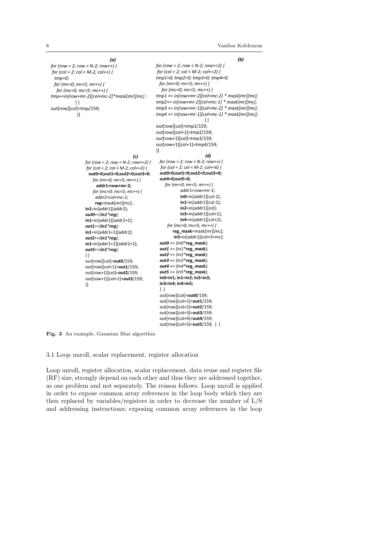*(b)*

*for (row = 2; row < N-2; row+=2) { for (col = 2; col < M-2; col+=2) { tmp1=0; tmp2=0; tmp3=0; tmp4=0; for (mr=0; mr<5; mr++) { for (mc=0; mc<5; mc++) { tmp1 += in[row+mr-2][col+mc-2] \* mask[mr][mc]; tmp2+= in[row+mr-2][col+mc-1] \* mask[mr][mc]; tmp3 += in[row+mr-1][col+mc-2] \* mask[mr][mc]; tmp4 += in[row+mr-1][col+mc-1] \* mask[mr][mc];* } } out[row][col]=tmp1/159; out[row][col+1]=tmp2/159; out[row+1][col]=tmp3/159; out[row+1][col+1]=tmp4/159; }} *(a) for (row = 2; row < N-2; row++) { for (col = 2; col < M-2; col++) { tmp=0; for (mr=0; mr<5; mr++) { for (mc=0; mc<5; mc++) { tmp+=in[row+mr-2][col+mc-2]\*mask[mr][mc] ;* } } out[row][col]=tmp/159; }} *(c) for (row = 2; row < N-2; row+=2) { for (col = 2; col < M-2; col+=2) {*  **out0=0;out1=0;out2=0;out3=0**; *for (mr=0; mr<5; mr++) {* **addr1=row+mr-2;**  *for (mc=0; mc<5; mc++) {*  addr2=col+mc-2; **reg**=mask[mr][mc]; **in1**=in[addr1][addr2]; *out0+=(in1\*reg);* **in1**=in[addr1][addr2+1]; *out1+=(in1\*reg);* **in1**=in[addr1+1][addr2]; *out2+=(in1\*reg);* **in1**=in[addr1+1][addr2+1]; *out3+=(in1\*reg);* } } out[row][col]=**out0**/159; out[row][col+1]=**out1**/159**;** out[row+1][col]=**out2**/159; out[row+1][col+1]=**out3**/159; }} *(d) for (row = 2; row < N-2; row++) { for (col = 2; col < M-2; col+=6) {* **out0=0;out1=0;out2=0;out3=0; out4=0;out5=0;** *for (mr=0; mr<5; mr++) {* addr1=row+mr-2; **in0**=in[addr1][col-2]; **in1**=in[addr1][col-1]; **in2**=in[addr1][col]; **in3**=in[addr1][col+1]; **in4**=in[addr1][col+2]; *for (mc=0; mc<5; mc++) {* **reg\_mask**=mask[mr][mc]; **in5**=in[addr1][col+3+mc]; *out0 += (in0\*reg\_mask); out1 += (in1\*reg\_mask); out2 += (in2\*reg\_mask); out3 += (in3\*reg\_mask); out4 += (in4\*reg\_mask); out5 += (in5\*reg\_mask);* **in0=in1; in1=in2; in2=in3; in3=in4; in4=in5;**  } } out[row][col]=**out0**/159; out[row][col+1]=**out1**/159; out[row][col+2]=**out2**/159; out[row][col+3]=**out3**/159; out[row][col+4]=**out4**/159; out[row][col+5]=**out5**/159; } }

Fig. 3 An example, Gaussian Blur algorithm

3.1 Loop unroll, scalar replacement, register allocation

Loop unroll, register allocation, scalar replacement, data reuse and register file (RF) size, strongly depend on each other and thus they are addressed together, as one problem and not separately. The reason follows. Loop unroll is applied in order to expose common array references in the loop body which they are then replaced by variables/registers in order to decrease the number of L/S and addressing instructions; exposing common array references in the loop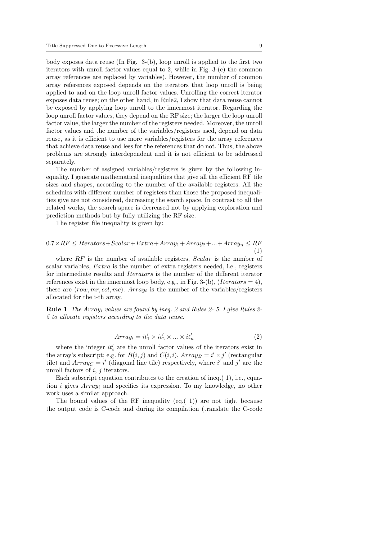body exposes data reuse (In Fig. 3-(b), loop unroll is applied to the first two iterators with unroll factor values equal to 2, while in Fig. 3-(c) the common array references are replaced by variables). However, the number of common array references exposed depends on the iterators that loop unroll is being applied to and on the loop unroll factor values. Unrolling the correct iterator exposes data reuse; on the other hand, in Rule2, I show that data reuse cannot be exposed by applying loop unroll to the innermost iterator. Regarding the loop unroll factor values, they depend on the RF size; the larger the loop unroll factor value, the larger the number of the registers needed. Moreover, the unroll factor values and the number of the variables/registers used, depend on data reuse, as it is efficient to use more variables/registers for the array references that achieve data reuse and less for the references that do not. Thus, the above problems are strongly interdependent and it is not efficient to be addressed separately.

The number of assigned variables/registers is given by the following inequality. I generate mathematical inequalities that give all the efficient RF tile sizes and shapes, according to the number of the available registers. All the schedules with different number of registers than those the proposed inequalities give are not considered, decreasing the search space. In contrast to all the related works, the search space is decreased not by applying exploration and prediction methods but by fully utilizing the RF size.

The register file inequality is given by:

$$
0.7 \times RF \leq Iterators + Scalar + Extra + Array_1 + Array_2 + \dots + Array_n \leq RF
$$

$$
\tag{1}
$$

where  $RF$  is the number of available registers,  $Scalar$  is the number of scalar variables, Extra is the number of extra registers needed, i.e., registers for intermediate results and Iterators is the number of the different iterator references exist in the innermost loop body, e.g., in Fig. 3-(b), (Iterators = 4), these are  $(row, mr, col, mc)$ .  $Array<sub>i</sub>$  is the number of the variables/registers allocated for the i-th array.

Rule 1 The Array<sup>i</sup> values are found by ineq. 2 and Rules 2- 5. I give Rules 2- 5 to allocate registers according to the data reuse.

$$
Array_i = it'_1 \times it'_2 \times \ldots \times it'_n \tag{2}
$$

where the integer  $it'_{i}$  are the unroll factor values of the iterators exist in the array's subscript; e.g. for  $B(i, j)$  and  $C(i, i)$ ,  $Array_B = i' \times j'$  (rectangular tile) and  $Array_C = i'$  (diagonal line tile) respectively, where i' and j' are the unroll factors of  $i, j$  iterators.

Each subscript equation contributes to the creation of ineq.( 1), i.e., equation i gives  $Array_i$  and specifies its expression. To my knowledge, no other work uses a similar approach.

The bound values of the RF inequality (eq.( 1)) are not tight because the output code is C-code and during its compilation (translate the C-code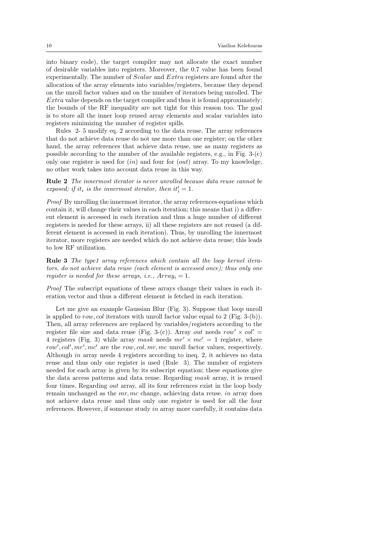into binary code), the target compiler may not allocate the exact number of desirable variables into registers. Moreover, the 0.7 value has been found experimentally. The number of Scalar and Extra registers are found after the allocation of the array elements into variables/registers, because they depend on the unroll factor values and on the number of iterators being unrolled. The Extra value depends on the target compiler and thus it is found approximately; the bounds of the RF inequality are not tight for this reason too. The goal is to store all the inner loop reused array elements and scalar variables into registers minimizing the number of register spills.

Rules 2- 5 modify eq. 2 according to the data reuse. The array references that do not achieve data reuse do not use more than one register; on the other hand, the array references that achieve data reuse, use as many registers as possible according to the number of the available registers, e.g., in Fig. 3-(c) only one register is used for  $(in)$  and four for  $(out)$  array. To my knowledge, no other work takes into account data reuse in this way.

Rule 2 The innermost iterator is never unrolled because data reuse cannot be exposed; if it<sub>i</sub> is the innermost iterator, then  $it'_i = 1$ .

Proof By unrolling the innermost iterator, the array references-equations which contain it, will change their values in each iteration; this means that i) a different element is accessed in each iteration and thus a huge number of different registers is needed for these arrays, ii) all these registers are not reused (a different element is accessed in each iteration). Thus, by unrolling the innermost iterator, more registers are needed which do not achieve data reuse; this leads to low RF utilization.

Rule 3 The type1 array references which contain all the loop kernel iterators, do not achieve data reuse (each element is accessed once); thus only one register is needed for these arrays, i.e.,  $Array_i = 1$ .

Proof The subscript equations of these arrays change their values in each iteration vector and thus a different element is fetched in each iteration.

Let me give an example Gaussian Blur (Fig. 3). Suppose that loop unroll is applied to row, col iterators with unroll factor value equal to 2 (Fig. 3-(b)). Then, all array references are replaced by variables/registers according to the register file size and data reuse (Fig. 3-(c)). Array out needs row'  $\times$  col' = 4 registers (Fig. 3) while array mask needs  $mr' \times mc' = 1$  register, where  $row', col', mr', mc'$  are the row, col, mr, mc unroll factor values, respectively. Although in array needs 4 registers according to ineq. 2, it achieves no data reuse and thus only one register is used (Rule 3). The number of registers needed for each array is given by its subscript equation; these equations give the data access patterns and data reuse. Regarding mask array, it is reused four times. Regarding out array, all its four references exist in the loop body remain unchanged as the mr, mc change, achieving data reuse. in array does not achieve data reuse and thus only one register is used for all the four references. However, if someone study in array more carefully, it contains data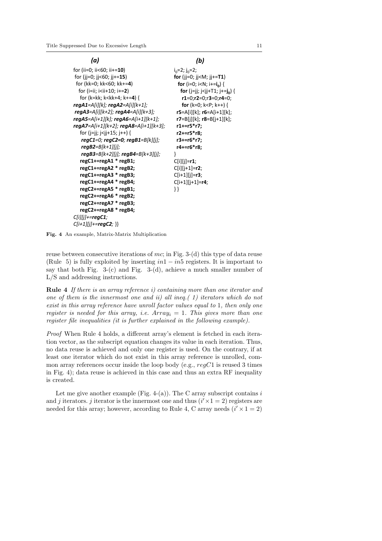| (a)                                                                                                                   | (b)                                                              |
|-----------------------------------------------------------------------------------------------------------------------|------------------------------------------------------------------|
| for (ii=0; ii<60; ii+=10)                                                                                             | $i_0$ =2; j <sub>0</sub> =2;                                     |
| for (jj=0; jj<60; jj+=15)                                                                                             | for (jj=0; jj <m; jj+="&lt;b">T1)</m;>                           |
| for (kk=0; kk<60; kk+=4)                                                                                              | <b>for</b> (i=0; i <n; i+="&lt;math">\mathbf{i_0}) {</n;>        |
| for (i=ii; i <ii+10; i+="2)&lt;/td"><td><b>for</b> (j=jj; j<jj+t1; j+="&lt;b">j<sub>0</sub>) {</jj+t1;></td></ii+10;> | <b>for</b> (j=jj; j <jj+t1; j+="&lt;b">j<sub>0</sub>) {</jj+t1;> |
| for (k=kk; k <kk+4; k+="4)" td="" {<=""><td><math>r1=0; r2=0; r3=0; r4=0;</math></td></kk+4;>                         | $r1=0; r2=0; r3=0; r4=0;$                                        |
|                                                                                                                       | <b>for</b> (k=0; k <p; k++)="" th="" {<=""></p;>                 |
| $regA3 = A[i][k+2]$ ; $regA4 = A[i][k+3]$ ;                                                                           | $r5 = A[i][k]$ ; $r6 = A[i+1][k]$ ;                              |
|                                                                                                                       | $r7 = B[j][k]$ ; $r8 = B[j+1][k]$ ;                              |
|                                                                                                                       | r1+=r5*r7;                                                       |
| for (j=jj; j <jj+15; j++)="" td="" {<=""><td>r2+=r5*r8;</td></jj+15;>                                                 | r2+=r5*r8;                                                       |
|                                                                                                                       | r3+=r6*r7;                                                       |
| $regB2 = B[k+1][j];$                                                                                                  | r4+=r6*r8;                                                       |
| regB3=B[k+2][j]; regB4=B[k+3][j];                                                                                     | ł                                                                |
| regC1+=regA1 * regB1;                                                                                                 | $C[i][j]=r1;$                                                    |
| regC1+=regA2 * regB2;                                                                                                 | $C[i][j+1]=r2;$                                                  |
| regC1+=regA3 * regB3;                                                                                                 | $C[i+1][j]=r3;$                                                  |
| regC1+=regA4 * regB4;                                                                                                 | $C[i+1][j+1]=r4;$                                                |
| regC2+=regA5 * regB1;                                                                                                 |                                                                  |
| regC2+=regA6 * regB2;                                                                                                 |                                                                  |
| regC2+=regA7 * regB3;                                                                                                 |                                                                  |
| regC2+=regA8 * regB4;                                                                                                 |                                                                  |
| $C[i][j]+=regC1;$                                                                                                     |                                                                  |
| $C[i+1][j]+=regC2;$ }}                                                                                                |                                                                  |

Fig. 4 An example, Matrix-Matrix Multiplication

reuse between consecutive iterations of mc; in Fig. 3-(d) this type of data reuse (Rule 5) is fully exploited by inserting  $in1 - in5$  registers. It is important to say that both Fig.  $3-(c)$  and Fig.  $3-(d)$ , achieve a much smaller number of L/S and addressing instructions.

Rule 4 If there is an array reference i) containing more than one iterator and one of them is the innermost one and ii) all ineq.( 1) iterators which do not exist in this array reference have unroll factor values equal to 1, then only one register is needed for this array, i.e.  $Array_i = 1$ . This gives more than one register file inequalities (it is further explained in the following example).

Proof When Rule 4 holds, a different array's element is fetched in each iteration vector, as the subscript equation changes its value in each iteration. Thus, no data reuse is achieved and only one register is used. On the contrary, if at least one iterator which do not exist in this array reference is unrolled, common array references occur inside the loop body (e.g.,  $regC1$  is reused 3 times in Fig. 4); data reuse is achieved in this case and thus an extra RF inequality is created.

Let me give another example (Fig. 4-(a)). The C array subscript contains  $i$ and j iterators. j iterator is the innermost one and thus  $(i' \times 1 = 2)$  registers are needed for this array; however, according to Rule 4, C array needs  $(i' \times 1 = 2)$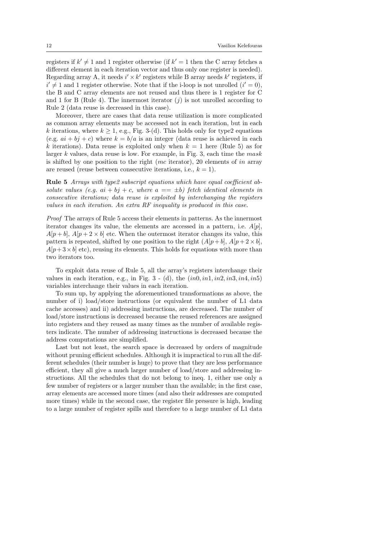registers if  $k' \neq 1$  and 1 register otherwise (if  $k' = 1$  then the C array fetches a different element in each iteration vector and thus only one register is needed). Regarding array A, it needs  $i' \times k'$  registers while B array needs  $k'$  registers, if  $i' \neq 1$  and 1 register otherwise. Note that if the i-loop is not unrolled  $(i' = 0)$ , the B and C array elements are not reused and thus there is 1 register for C and 1 for B (Rule 4). The innermost iterator  $(i)$  is not unrolled according to Rule 2 (data reuse is decreased in this case).

Moreover, there are cases that data reuse utilization is more complicated as common array elements may be accessed not in each iteration, but in each k iterations, where  $k \geq 1$ , e.g., Fig. 3-(d). This holds only for type2 equations (e.g.  $ai + bj + c$ ) where  $k = b/a$  is an integer (data reuse is achieved in each k iterations). Data reuse is exploited only when  $k = 1$  here (Rule 5) as for larger k values, data reuse is low. For example, in Fig. 3, each time the  $mask$ is shifted by one position to the right (mc iterator), 20 elements of in array are reused (reuse between consecutive iterations, i.e.,  $k = 1$ ).

Rule 5 Arrays with type 2 subscript equations which have equal coefficient absolute values (e.g.  $ai + bj + c$ , where  $a == \pm b$ ) fetch identical elements in consecutive iterations; data reuse is exploited by interchanging the registers values in each iteration. An extra RF inequality is produced in this case.

Proof The arrays of Rule 5 access their elements in patterns. As the innermost iterator changes its value, the elements are accessed in a pattern, i.e.  $A[p]$ ,  $A[p + b], A[p + 2 \times b]$  etc. When the outermost iterator changes its value, this pattern is repeated, shifted by one position to the right  $(A[p + b], A[p + 2 \times b],$  $A[p+3\times b]$  etc), reusing its elements. This holds for equations with more than two iterators too.

To exploit data reuse of Rule 5, all the array's registers interchange their values in each iteration, e.g., in Fig.  $3 - (d)$ , the  $(in0, in1, in2, in3, in4, in5)$ variables interchange their values in each iteration.

To sum up, by applying the aforementioned transformations as above, the number of i) load/store instructions (or equivalent the number of L1 data cache accesses) and ii) addressing instructions, are decreased. The number of load/store instructions is decreased because the reused references are assigned into registers and they reused as many times as the number of available registers indicate. The number of addressing instructions is decreased because the address computations are simplified.

Last but not least, the search space is decreased by orders of magnitude without pruning efficient schedules. Although it is impractical to run all the different schedules (their number is huge) to prove that they are less performance efficient, they all give a much larger number of load/store and addressing instructions. All the schedules that do not belong to ineq. 1, either use only a few number of registers or a larger number than the available; in the first case, array elements are accessed more times (and also their addresses are computed more times) while in the second case, the register file pressure is high, leading to a large number of register spills and therefore to a large number of L1 data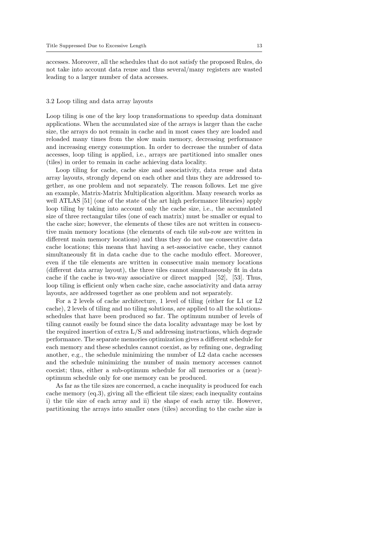accesses. Moreover, all the schedules that do not satisfy the proposed Rules, do not take into account data reuse and thus several/many registers are wasted leading to a larger number of data accesses.

#### 3.2 Loop tiling and data array layouts

Loop tiling is one of the key loop transformations to speedup data dominant applications. When the accumulated size of the arrays is larger than the cache size, the arrays do not remain in cache and in most cases they are loaded and reloaded many times from the slow main memory, decreasing performance and increasing energy consumption. In order to decrease the number of data accesses, loop tiling is applied, i.e., arrays are partitioned into smaller ones (tiles) in order to remain in cache achieving data locality.

Loop tiling for cache, cache size and associativity, data reuse and data array layouts, strongly depend on each other and thus they are addressed together, as one problem and not separately. The reason follows. Let me give an example, Matrix-Matrix Multiplication algorithm. Many research works as well ATLAS [51] (one of the state of the art high performance libraries) apply loop tiling by taking into account only the cache size, i.e., the accumulated size of three rectangular tiles (one of each matrix) must be smaller or equal to the cache size; however, the elements of these tiles are not written in consecutive main memory locations (the elements of each tile sub-row are written in different main memory locations) and thus they do not use consecutive data cache locations; this means that having a set-associative cache, they cannot simultaneously fit in data cache due to the cache modulo effect. Moreover, even if the tile elements are written in consecutive main memory locations (different data array layout), the three tiles cannot simultaneously fit in data cache if the cache is two-way associative or direct mapped [52], [53]. Thus, loop tiling is efficient only when cache size, cache associativity and data array layouts, are addressed together as one problem and not separately.

For a 2 levels of cache architecture, 1 level of tiling (either for L1 or L2 cache), 2 levels of tiling and no tiling solutions, are applied to all the solutionsschedules that have been produced so far. The optimum number of levels of tiling cannot easily be found since the data locality advantage may be lost by the required insertion of extra L/S and addressing instructions, which degrade performance. The separate memories optimization gives a different schedule for each memory and these schedules cannot coexist, as by refining one, degrading another, e.g., the schedule minimizing the number of  $L2$  data cache accesses and the schedule minimizing the number of main memory accesses cannot coexist; thus, either a sub-optimum schedule for all memories or a (near) optimum schedule only for one memory can be produced.

As far as the tile sizes are concerned, a cache inequality is produced for each cache memory (eq.3), giving all the efficient tile sizes; each inequality contains i) the tile size of each array and ii) the shape of each array tile. However, partitioning the arrays into smaller ones (tiles) according to the cache size is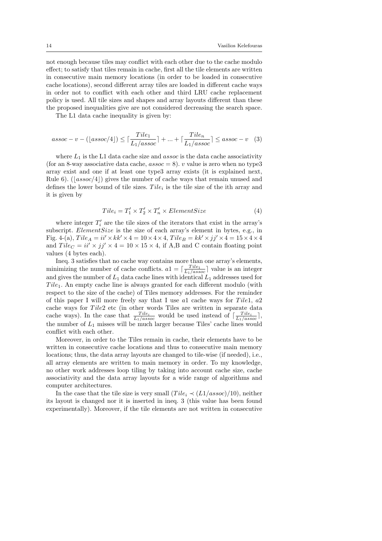not enough because tiles may conflict with each other due to the cache modulo effect; to satisfy that tiles remain in cache, first all the tile elements are written in consecutive main memory locations (in order to be loaded in consecutive cache locations), second different array tiles are loaded in different cache ways in order not to conflict with each other and third LRU cache replacement policy is used. All tile sizes and shapes and array layouts different than these the proposed inequalities give are not considered decreasing the search space.

The L1 data cache inequality is given by:

$$
assoc - v - (\lfloor assoc/4 \rfloor) \le \lceil \frac{Tile_1}{L_1/assoc} \rceil + \dots + \lceil \frac{Tile_n}{L_1/assoc} \rceil \le assoc - v \quad (3)
$$

where  $L_1$  is the L1 data cache size and *assoc* is the data cache associativity (for an 8-way associative data cache,  $assoc = 8$ ). v value is zero when no type3 array exist and one if at least one type3 array exists (it is explained next, Rule 6).  $\left( |assoc/4| \right)$  gives the number of cache ways that remain unused and defines the lower bound of tile sizes.  $Tile_i$  is the tile size of the ith array and it is given by

$$
Tile_i = T'_1 \times T'_2 \times T'_n \times ElementSize
$$
\n<sup>(4)</sup>

where integer  $T_i'$  are the tile sizes of the iterators that exist in the array's subscript. *ElementSize* is the size of each array's element in bytes, e.g., in Fig. 4-(a),  $Tile_A = ii' \times kk' \times 4 = 10 \times 4 \times 4$ ,  $Tile_B = kk' \times jj' \times 4 = 15 \times 4 \times 4$ and  $Tile_C = ii' \times jj' \times 4 = 10 \times 15 \times 4$ , if A,B and C contain floating point values (4 bytes each).

Ineq. 3 satisfies that no cache way contains more than one array's elements, minimizing the number of cache conflicts.  $a1 = \lceil \frac{Tile_1}{L_1/assoc} \rceil$  value is an integer and gives the number of  $L_1$  data cache lines with identical  $L_1$  addresses used for  $Tile<sub>1</sub>$ . An empty cache line is always granted for each different modulo (with respect to the size of the cache) of Tiles memory addresses. For the reminder of this paper I will more freely say that I use all cache ways for Tile1,  $a2$ cache ways for Tile2 etc (in other words Tiles are written in separate data cache ways). In the case that  $\frac{Tile_i}{L_1/assoc}$  would be used instead of  $\lceil \frac{File_i}{L_1/assoc} \rceil$ , the number of  $L_1$  misses will be much larger because Tiles' cache lines would conflict with each other.

Moreover, in order to the Tiles remain in cache, their elements have to be written in consecutive cache locations and thus to consecutive main memory locations; thus, the data array layouts are changed to tile-wise (if needed), i.e., all array elements are written to main memory in order. To my knowledge, no other work addresses loop tiling by taking into account cache size, cache associativity and the data array layouts for a wide range of algorithms and computer architectures.

In the case that the tile size is very small  $(Tile_i \prec (L1/assoc)/10)$ , neither its layout is changed nor it is inserted in ineq. 3 (this value has been found experimentally). Moreover, if the tile elements are not written in consecutive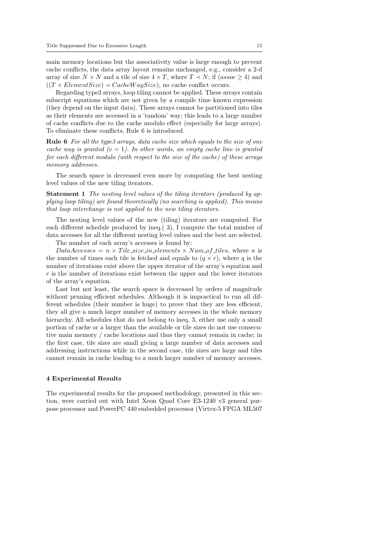main memory locations but the associativity value is large enough to prevent cache conflicts, the data array layout remains unchanged, e.g., consider a 2-d array of size  $N \times N$  and a tile of size  $4 \times T$ , where  $T \prec N$ ; if  $(asoo > 4)$  and  $((T \times ElementSize) \prec CacheWaySize)$ , no cache conflict occurs.

Regarding type3 arrays, loop tiling cannot be applied. These arrays contain subscript equations which are not given by a compile time known expression (they depend on the input data). These arrays cannot be partitioned into tiles as their elements are accessed in a 'random' way; this leads to a large number of cache conflicts due to the cache modulo effect (especially for large arrays). To eliminate these conflicts, Rule 6 is introduced.

Rule 6 For all the type3 arrays, data cache size which equals to the size of one cache way is granted  $(v = 1)$ . In other words, an empty cache line is granted for each different modulo (with respect to the size of the cache) of these arrays memory addresses.

The search space is decreased even more by computing the best nesting level values of the new tiling iterators.

Statement 1 The nesting level values of the tiling iterators (produced by applying loop tiling) are found theoretically (no searching is applied). This means that loop interchange is not applied to the new tiling iterators.

The nesting level values of the new (tiling) iterators are computed. For each different schedule produced by ineq.( 3), I compute the total number of data accesses for all the different nesting level values and the best are selected.

The number of each array's accesses is found by:

 $DataAccesses = n \times Title_size_in_elements \times Num_of_tiles$ , where n is the number of times each tile is fetched and equals to  $(q \times r)$ , where q is the number of iterations exist above the upper iterator of the array's equation and  $r$  is the number of iterations exist between the upper and the lower iterators of the array's equation.

Last but not least, the search space is decreased by orders of magnitude without pruning efficient schedules. Although it is impractical to run all different schedules (their number is huge) to prove that they are less efficient, they all give a much larger number of memory accesses in the whole memory hierarchy. All schedules that do not belong to ineq. 3, either use only a small portion of cache or a larger than the available or tile sizes do not use consecutive main memory / cache locations and thus they cannot remain in cache; in the first case, tile sizes are small giving a large number of data accesses and addressing instructions while in the second case, tile sizes are large and tiles cannot remain in cache leading to a much larger number of memory accesses.

#### 4 Experimental Results

The experimental results for the proposed methodology, presented in this section, were carried out with Intel Xeon Quad Core E3-1240 v3 general purpose processor and PowerPC 440 embedded processor (Virtex-5 FPGA ML507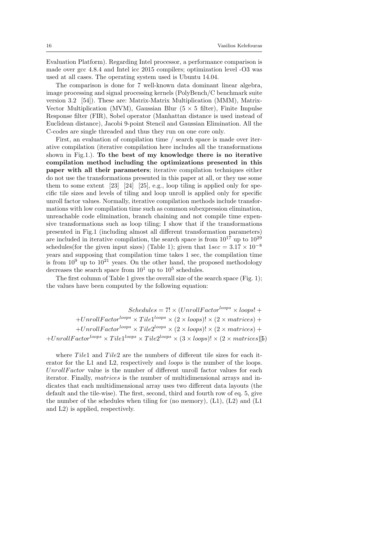Evaluation Platform). Regarding Intel processor, a performance comparison is made over gcc 4.8.4 and Intel icc 2015 compilers; optimization level -O3 was used at all cases. The operating system used is Ubuntu 14.04.

The comparison is done for 7 well-known data dominant linear algebra, image processing and signal processing kernels (PolyBench/C benchmark suite version 3.2 [54]). These are: Matrix-Matrix Multiplication (MMM), Matrix-Vector Multiplication (MVM), Gaussian Blur  $(5 \times 5$  filter), Finite Impulse Response filter (FIR), Sobel operator (Manhattan distance is used instead of Euclidean distance), Jacobi 9-point Stencil and Gaussian Elimination. All the C-codes are single threaded and thus they run on one core only.

First, an evaluation of compilation time / search space is made over iterative compilation (iterative compilation here includes all the transformations shown in Fig.1.). To the best of my knowledge there is no iterative compilation method including the optimizations presented in this paper with all their parameters; iterative compilation techniques either do not use the transformations presented in this paper at all, or they use some them to some extent [23] [24] [25], e.g., loop tiling is applied only for specific tile sizes and levels of tiling and loop unroll is applied only for specific unroll factor values. Normally, iterative compilation methods include transformations with low compilation time such as common subexpression elimination, unreachable code elimination, branch chaining and not compile time expensive transformations such as loop tiling; I show that if the transformations presented in Fig.1 (including almost all different transformation parameters) are included in iterative compilation, the search space is from  $10^{17}$  up to  $10^{29}$ schedules(for the given input sizes) (Table 1); given that  $1sec = 3.17 \times 10^{-8}$ years and supposing that compilation time takes 1 sec, the compilation time is from  $10^9$  up to  $10^{21}$  years. On the other hand, the proposed methodology decreases the search space from  $10^1$  up to  $10^5$  schedules.

The first column of Table 1 gives the overall size of the search space (Fig. 1); the values have been computed by the following equation:

 $Schedules = 7! \times (UnrollFactor^{loops} \times loops! +$  $+UnrollFactor^{loops} \times Tile1^{loops} \times (2 \times loops)! \times (2 \times matrices) +$  $+UnrollFactor^{loops} \times File2^{loops} \times (2 \times loops)! \times (2 \times matrices) +$  $+UnrollFactor^{loops} \times Tile1^{loops} \times Tile2^{loops} \times (3 \times loops)! \times (2 \times matrices)\$ 

where  $Tile1$  and  $Tile2$  are the numbers of different tile sizes for each iterator for the L1 and L2, respectively and *loops* is the number of the loops.  $UnrollFactor$  value is the number of different unroll factor values for each iterator. Finally, matrices is the number of multidimensional arrays and indicates that each multidimensional array uses two different data layouts (the default and the tile-wise). The first, second, third and fourth row of eq. 5, give the number of the schedules when tiling for (no memory), (L1), (L2) and (L1 and L2) is applied, respectively.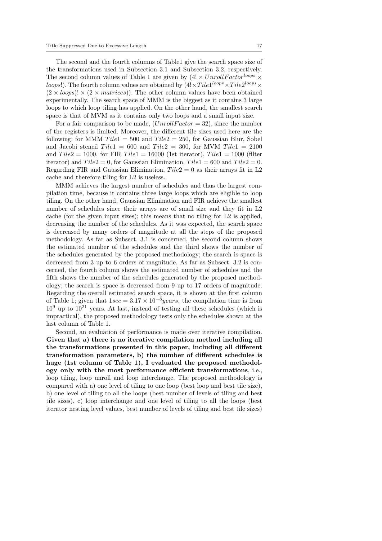The second and the fourth columns of Table1 give the search space size of the transformations used in Subsection 3.1 and Subsection 3.2, respectively. The second column values of Table 1 are given by  $(4! \times UnrollFactor^{loops} \times$ *loops*!). The fourth column values are obtained by  $(4! \times Tile1^{loops} \times Tile2^{loops} \times$  $(2 \times loops)! \times (2 \times matrices)$ . The other column values have been obtained experimentally. The search space of MMM is the biggest as it contains 3 large loops to which loop tiling has applied. On the other hand, the smallest search space is that of MVM as it contains only two loops and a small input size.

For a fair comparison to be made,  $(UnrollFactor = 32)$ , since the number of the registers is limited. Moreover, the different tile sizes used here are the following: for MMM  $Tile1 = 500$  and  $Tile2 = 250$ , for Gaussian Blur, Sobel and Jacobi stencil  $Tile1 = 600$  and  $Tile2 = 300$ , for MVM  $Tile1 = 2100$ and  $Tile2 = 1000$ , for FIR  $Tile1 = 16000$  (1st iterator),  $Tile1 = 1000$  (filter iterator) and  $Tile2 = 0$ , for Gaussian Elimination,  $Tile1 = 600$  and  $Tile2 = 0$ . Regarding FIR and Gaussian Elimination,  $Tile2 = 0$  as their arrays fit in L2 cache and therefore tiling for L2 is useless.

MMM achieves the largest number of schedules and thus the largest compilation time, because it contains three large loops which are eligible to loop tiling. On the other hand, Gaussian Elimination and FIR achieve the smallest number of schedules since their arrays are of small size and they fit in L2 cache (for the given input sizes); this means that no tiling for L2 is applied, decreasing the number of the schedules. As it was expected, the search space is decreased by many orders of magnitude at all the steps of the proposed methodology. As far as Subsect. 3.1 is concerned, the second column shows the estimated number of the schedules and the third shows the number of the schedules generated by the proposed methodology; the search is space is decreased from 3 up to 6 orders of magnitude. As far as Subsect. 3.2 is concerned, the fourth column shows the estimated number of schedules and the fifth shows the number of the schedules generated by the proposed methodology; the search is space is decreased from 9 up to 17 orders of magnitude. Regarding the overall estimated search space, it is shown at the first column of Table 1; given that  $1sec = 3.17 \times 10^{-8} years$ , the compilation time is from  $10<sup>9</sup>$  up to  $10<sup>21</sup>$  years. At last, instead of testing all these schedules (which is impractical), the proposed methodology tests only the schedules shown at the last column of Table 1.

Second, an evaluation of performance is made over iterative compilation. Given that a) there is no iterative compilation method including all the transformations presented in this paper, including all different transformation parameters, b) the number of different schedules is huge (1st column of Table 1), I evaluated the proposed methodology only with the most performance efficient transformations, i.e., loop tiling, loop unroll and loop interchange. The proposed methodology is compared with a) one level of tiling to one loop (best loop and best tile size), b) one level of tiling to all the loops (best number of levels of tiling and best tile sizes), c) loop interchange and one level of tiling to all the loops (best iterator nesting level values, best number of levels of tiling and best tile sizes)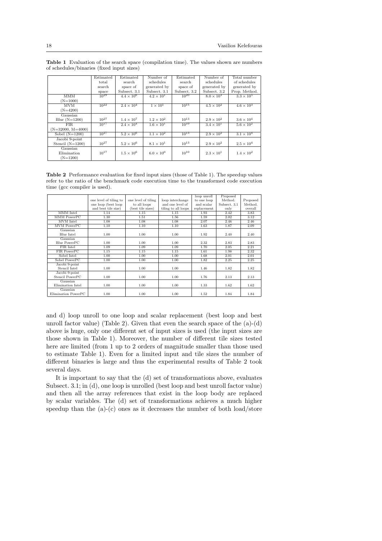|                     | Estimated | Estimated           | Number of           | Estimated    | Number of           | Total number        |
|---------------------|-----------|---------------------|---------------------|--------------|---------------------|---------------------|
|                     | total     | search              | schedules           | search       | schedules           | of schedules        |
|                     | search    | space of            | generated by        | space of     | generated by        | generated by        |
|                     | space     | Subsect. 3.1        | Subsect. 3.1        | Subsect. 3.2 | Subsect. 3.2        | Prop. Method.       |
| MMM                 | $10^{29}$ | $4.4 \times 10^{6}$ | $4.2 \times 10^{1}$ | $10^{20}$    | $8.0 \times 10^{3}$ | $3.3 \times 10^{5}$ |
| $(N=1000)$          |           |                     |                     |              |                     |                     |
| <b>MVM</b>          | $10^{22}$ | $2.4 \times 10^4$   | $1 \times 10^{1}$   | $10^{15}$    | $4.5 \times 10^{2}$ | $4.6 \times 10^3$   |
| $(N=4200)$          |           |                     |                     |              |                     |                     |
| Gaussian            |           |                     |                     |              |                     |                     |
| $Blur(N=1200)$      | $10^{27}$ | $1.4 \times 10^7$   | $1.2 \times 10^{2}$ | $10^{13}$    | $2.9 \times 10^{2}$ | $3.6 \times 10^4$   |
| <b>FIR</b>          | $10^{17}$ | $2.4 \times 10^{4}$ | $1.6 \times 10^{1}$ | $10^{10}$    | $3.4 \times 10^{1}$ | $5.6 \times 10^{2}$ |
| $(N=32000, M=4000)$ |           |                     |                     |              |                     |                     |
| Sobel $(N=1200)$    | $10^{27}$ | $5.2 \times 10^6$   | $1.1 \times 10^{2}$ | $10^{13}$    | $2.9 \times 10^{2}$ | $3.1 \times 10^{4}$ |
| Jacobi 9-point      |           |                     |                     |              |                     |                     |
| Stencil $(N=1200)$  | $10^{27}$ | $5.2 \times 10^{6}$ | $8.1 \times 10^{1}$ | $10^{13}$    | $2.9 \times 10^{2}$ | $2.5 \times 10^{4}$ |
| Gaussian            |           |                     |                     |              |                     |                     |
| Elimination         | $10^{17}$ | $1.5 \times 10^6$   | $6.0 \times 10^{0}$ | $10^{10}$    | $2.3 \times 10^{1}$ | $1.4 \times 10^{2}$ |
| $(N=1200)$          |           |                     |                     |              |                     |                     |

Table 1 Evaluation of the search space (compilation time). The values shown are numbers of schedules/binaries (fixed input sizes)

Table 2 Performance evaluation for fixed input sizes (those of Table 1). The speedup values refer to the ratio of the benchmark code execution time to the transformed code execution time (gcc compiler is used).

| one level of tiling to | one level of tiling | loop interchange    | to one loop | Method.      | Proposed |
|------------------------|---------------------|---------------------|-------------|--------------|----------|
| one loop (best loop)   | to all loops        | and one level of    | and scalar  | Subsect. 3.1 | Method.  |
| and best tile size)    | (best tile sizes)   | tiling to all loops | replacement | only         | overall  |
| 1.14                   | 1.15                | 1.15                | 1.93        | 2.42         | 3.83     |
| 1.30                   | 1.51                | 1.56                | 1.59        | 2.02         | 3.12     |
| 1.08                   | 1.08                | 1.08                | 2.07        | 2.46         | 2.46     |
| 1.10                   | 1.10                | 1.10                | 1.63        | 1.87         | 2.09     |
|                        |                     |                     |             |              |          |
| 1.00                   | 1.00                | 1.00                | 1.92        | 2.40         | 2.40     |
|                        |                     |                     |             |              |          |
| 1.00                   | 1.00                | 1.00                | 2.32        | 2.83         | 2.83     |
| 1.09                   | 1.09                | 1.09                | 1.70        | 2.05         | 2.21     |
| 1.15                   | 1.15                | 1.15                | 1.61        | 1.98         | 2.32     |
| 1.00                   | 1.00                | 1.00                | 1.68        | 2.01         | 2.01     |
| 1.00                   | 1.00                | 1.00                | 1.82        | 2.25         | 2.25     |
|                        |                     |                     |             |              |          |
| 1.00                   | 1.00                | 1.00                | 1.46        | 1.82         | 1.82     |
|                        |                     |                     |             |              |          |
| 1.00                   | 1.00                | 1.00                | 1.76        | 2.13         | 2.13     |
|                        |                     |                     |             |              |          |
| 1.00                   | 1.00                | 1.00                | 1.33        | 1.62         | 1.62     |
|                        |                     |                     |             |              |          |
| 1.00                   | 1.00                | 1.00                | 1.52        | 1.84         | 1.84     |
|                        |                     |                     |             | loop unroll  | Proposed |

and d) loop unroll to one loop and scalar replacement (best loop and best unroll factor value) (Table 2). Given that even the search space of the  $(a)-(d)$ above is huge, only one different set of input sizes is used (the input sizes are those shown in Table 1). Moreover, the number of different tile sizes tested here are limited (from 1 up to 2 orders of magnitude smaller than those used to estimate Table 1). Even for a limited input and tile sizes the number of different binaries is large and thus the experimental results of Table 2 took several days.

It is important to say that the (d) set of transformations above, evaluates Subsect. 3.1; in (d), one loop is unrolled (best loop and best unroll factor value) and then all the array references that exist in the loop body are replaced by scalar variables. The (d) set of transformations achieves a much higher speedup than the  $(a)-(c)$  ones as it decreases the number of both load/store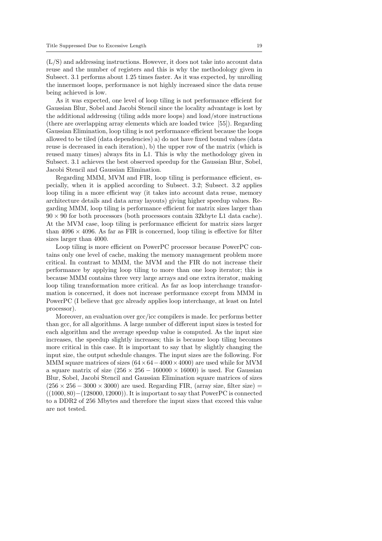(L/S) and addressing instructions. However, it does not take into account data reuse and the number of registers and this is why the methodology given in Subsect. 3.1 performs about 1.25 times faster. As it was expected, by unrolling the innermost loops, performance is not highly increased since the data reuse being achieved is low.

As it was expected, one level of loop tiling is not performance efficient for Gaussian Blur, Sobel and Jacobi Stencil since the locality advantage is lost by the additional addressing (tiling adds more loops) and load/store instructions (there are overlapping array elements which are loaded twice [55]). Regarding Gaussian Elimination, loop tiling is not performance efficient because the loops allowed to be tiled (data dependencies) a) do not have fixed bound values (data reuse is decreased in each iteration), b) the upper row of the matrix (which is reused many times) always fits in L1. This is why the methodology given in Subsect. 3.1 achieves the best observed speedup for the Gaussian Blur, Sobel, Jacobi Stencil and Gaussian Elimination.

Regarding MMM, MVM and FIR, loop tiling is performance efficient, especially, when it is applied according to Subsect. 3.2; Subsect. 3.2 applies loop tiling in a more efficient way (it takes into account data reuse, memory architecture details and data array layouts) giving higher speedup values. Regarding MMM, loop tiling is performance efficient for matrix sizes larger than  $90 \times 90$  for both processors (both processors contain 32kbyte L1 data cache). At the MVM case, loop tiling is performance efficient for matrix sizes larger than  $4096 \times 4096$ . As far as FIR is concerned, loop tiling is effective for filter sizes larger than 4000.

Loop tiling is more efficient on PowerPC processor because PowerPC contains only one level of cache, making the memory management problem more critical. In contrast to MMM, the MVM and the FIR do not increase their performance by applying loop tiling to more than one loop iterator; this is because MMM contains three very large arrays and one extra iterator, making loop tiling transformation more critical. As far as loop interchange transformation is concerned, it does not increase performance except from MMM in PowerPC (I believe that gcc already applies loop interchange, at least on Intel processor).

Moreover, an evaluation over gcc/icc compilers is made. Icc performs better than gcc, for all algorithms. A large number of different input sizes is tested for each algorithm and the average speedup value is computed. As the input size increases, the speedup slightly increases; this is because loop tiling becomes more critical in this case. It is important to say that by slightly changing the input size, the output schedule changes. The input sizes are the following. For MMM square matrices of sizes  $(64 \times 64 - 4000 \times 4000)$  are used while for MVM a square matrix of size  $(256 \times 256 - 160000 \times 16000)$  is used. For Gaussian Blur, Sobel, Jacobi Stencil and Gaussian Elimination square matrices of sizes  $(256 \times 256 - 3000 \times 3000)$  are used. Regarding FIR, (array size, filter size) =  $((1000, 80) - (128000, 12000))$ . It is important to say that PowerPC is connected to a DDR2 of 256 Mbytes and therefore the input sizes that exceed this value are not tested.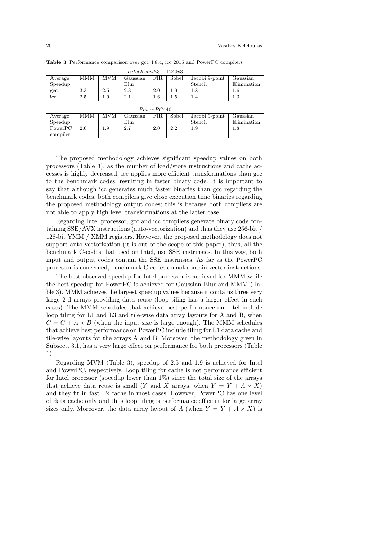| $IntelXeonE3 - 1240v3$ |            |            |          |            |       |                |             |  |  |
|------------------------|------------|------------|----------|------------|-------|----------------|-------------|--|--|
| Average                | <b>MMM</b> | MVM        | Gaussian | <b>FIR</b> | Sobel | Jacobi 9-point | Gaussian    |  |  |
| Speedup                |            |            | Blur     |            |       | Stencil        | Elimination |  |  |
| $_{\rm gcc}$           | 3.3        | 2.5        | 2.3      | 2.0        | 1.9   | 1.8            | 1.6         |  |  |
| icc                    | 2.5        | 1.9        | 2.1      | $1.6\,$    | 1.5   | 1.4            | $1.3\,$     |  |  |
|                        |            |            |          |            |       |                |             |  |  |
| PowerPC440             |            |            |          |            |       |                |             |  |  |
| Average                | <b>MMM</b> | <b>MVM</b> | Gaussian | <b>FIR</b> | Sobel | Jacobi 9-point | Gaussian    |  |  |
| Speedup                |            |            | Blur     |            |       | Stencil        | Elimination |  |  |
| PowerPC                | 2.6        | 1.9        | 2.7      | 2.0        | 2.2   | 1.9            | 1.8         |  |  |
| compiler               |            |            |          |            |       |                |             |  |  |

Table 3 Performance comparison over gcc 4.8.4, icc 2015 and PowerPC compilers

The proposed methodology achieves significant speedup values on both processors (Table 3), as the number of load/store instructions and cache accesses is highly decreased. icc applies more efficient transformations than gcc to the benchmark codes, resulting in faster binary code. It is important to say that although icc generates much faster binaries than gcc regarding the benchmark codes, both compilers give close execution time binaries regarding the proposed methodology output codes; this is because both compilers are not able to apply high level transformations at the latter case.

Regarding Intel processor, gcc and icc compilers generate binary code containing SSE/AVX instructions (auto-vectorization) and thus they use 256-bit / 128-bit YMM / XMM registers. However, the proposed methodology does not support auto-vectorization (it is out of the scope of this paper); thus, all the benchmark C-codes that used on Intel, use SSE instrinsics. In this way, both input and output codes contain the SSE instrinsics. As far as the PowerPC processor is concerned, benchmark C-codes do not contain vector instructions.

The best observed speedup for Intel processor is achieved for MMM while the best speedup for PowerPC is achieved for Gaussian Blur and MMM (Table 3). MMM achieves the largest speedup values because it contains three very large 2-d arrays providing data reuse (loop tiling has a larger effect in such cases). The MMM schedules that achieve best performance on Intel include loop tiling for L1 and L3 and tile-wise data array layouts for A and B, when  $C = C + A \times B$  (when the input size is large enough). The MMM schedules that achieve best performance on PowerPC include tiling for L1 data cache and tile-wise layouts for the arrays A and B. Moreover, the methodology given in Subsect. 3.1, has a very large effect on performance for both processors (Table 1).

Regarding MVM (Table 3), speedup of 2.5 and 1.9 is achieved for Intel and PowerPC, respectively. Loop tiling for cache is not performance efficient for Intel processor (speedup lower than 1%) since the total size of the arrays that achieve data reuse is small (Y and X arrays, when  $Y = Y + A \times X$ ) and they fit in fast L2 cache in most cases. However, PowerPC has one level of data cache only and thus loop tiling is performance efficient for large array sizes only. Moreover, the data array layout of A (when  $Y = Y + A \times X$ ) is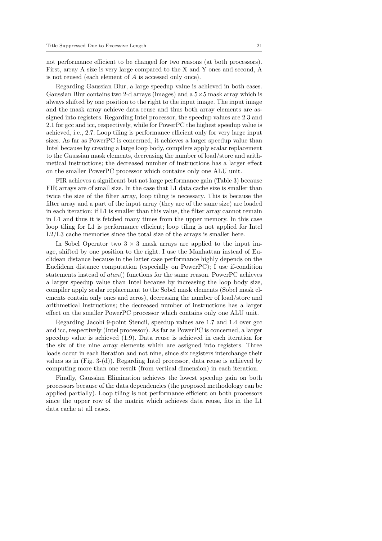not performance efficient to be changed for two reasons (at both processors). First, array A size is very large compared to the X and Y ones and second, A is not reused (each element of A is accessed only once).

Regarding Gaussian Blur, a large speedup value is achieved in both cases. Gaussian Blur contains two 2-d arrays (images) and a  $5\times 5$  mask array which is always shifted by one position to the right to the input image. The input image and the mask array achieve data reuse and thus both array elements are assigned into registers. Regarding Intel processor, the speedup values are 2.3 and 2.1 for gcc and icc, respectively, while for PowerPC the highest speedup value is achieved, i.e., 2.7. Loop tiling is performance efficient only for very large input sizes. As far as PowerPC is concerned, it achieves a larger speedup value than Intel because by creating a large loop body, compilers apply scalar replacement to the Gaussian mask elements, decreasing the number of load/store and arithmetical instructions; the decreased number of instructions has a larger effect on the smaller PowerPC processor which contains only one ALU unit.

FIR achieves a significant but not large performance gain (Table 3) because FIR arrays are of small size. In the case that L1 data cache size is smaller than twice the size of the filter array, loop tiling is necessary. This is because the filter array and a part of the input array (they are of the same size) are loaded in each iteration; if L1 is smaller than this value, the filter array cannot remain in L1 and thus it is fetched many times from the upper memory. In this case loop tiling for L1 is performance efficient; loop tiling is not applied for Intel L2/L3 cache memories since the total size of the arrays is smaller here.

In Sobel Operator two  $3 \times 3$  mask arrays are applied to the input image, shifted by one position to the right. I use the Manhattan instead of Euclidean distance because in the latter case performance highly depends on the Euclidean distance computation (especially on PowerPC); I use if-condition statements instead of atan() functions for the same reason. PowerPC achieves a larger speedup value than Intel because by increasing the loop body size, compiler apply scalar replacement to the Sobel mask elements (Sobel mask elements contain only ones and zeros), decreasing the number of load/store and arithmetical instructions; the decreased number of instructions has a larger effect on the smaller PowerPC processor which contains only one ALU unit.

Regarding Jacobi 9-point Stencil, speedup values are 1.7 and 1.4 over gcc and icc, respectively (Intel processor). As far as PowerPC is concerned, a larger speedup value is achieved (1.9). Data reuse is achieved in each iteration for the six of the nine array elements which are assigned into registers. Three loads occur in each iteration and not nine, since six registers interchange their values as in (Fig. 3-(d)). Regarding Intel processor, data reuse is achieved by computing more than one result (from vertical dimension) in each iteration.

Finally, Gaussian Elimination achieves the lowest speedup gain on both processors because of the data dependencies (the proposed methodology can be applied partially). Loop tiling is not performance efficient on both processors since the upper row of the matrix which achieves data reuse, fits in the L1 data cache at all cases.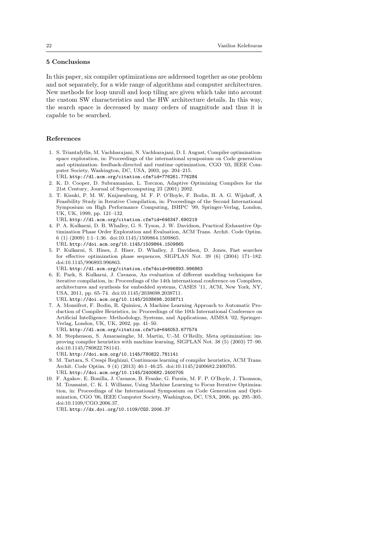## 5 Conclusions

In this paper, six compiler optimizations are addressed together as one problem and not separately, for a wide range of algorithms and computer architectures. New methods for loop unroll and loop tiling are given which take into account the custom SW characteristics and the HW architecture details. In this way, the search space is decreased by many orders of magnitude and thus it is capable to be searched.

### References

- 1. S. Triantafyllis, M. Vachharajani, N. Vachharajani, D. I. August, Compiler optimizationspace exploration, in: Proceedings of the international symposium on Code generation and optimization: feedback-directed and runtime optimization, CGO '03, IEEE Computer Society, Washington, DC, USA, 2003, pp. 204–215. URL http://dl.acm.org/citation.cfm?id=776261.776284
- 2. K. D. Cooper, D. Subramanian, L. Torczon, Adaptive Optimizing Compilers for the 21st Century, Journal of Supercomputing 23 (2001) 2002.
- 3. T. Kisuki, P. M. W. Knijnenburg, M. F. P. O'Boyle, F. Bodin, H. A. G. Wijshoff, A Feasibility Study in Iterative Compilation, in: Proceedings of the Second International Symposium on High Performance Computing, ISHPC '99, Springer-Verlag, London, UK, UK, 1999, pp. 121–132.

URL http://dl.acm.org/citation.cfm?id=646347.690219

- 4. P. A. Kulkarni, D. B. Whalley, G. S. Tyson, J. W. Davidson, Practical Exhaustive Optimization Phase Order Exploration and Evaluation, ACM Trans. Archit. Code Optim. 6 (1) (2009) 1:1–1:36. doi:10.1145/1509864.1509865. URL http://doi.acm.org/10.1145/1509864.1509865
- 5. P. Kulkarni, S. Hines, J. Hiser, D. Whalley, J. Davidson, D. Jones, Fast searches for effective optimization phase sequences, SIGPLAN Not. 39 (6) (2004) 171–182. doi:10.1145/996893.996863.

URL http://dl.acm.org/citation.cfm?doid=996893.996863

- 6. E. Park, S. Kulkarni, J. Cavazos, An evaluation of different modeling techniques for iterative compilation, in: Proceedings of the 14th international conference on Compilers, architectures and synthesis for embedded systems, CASES '11, ACM, New York, NY, USA, 2011, pp. 65–74. doi:10.1145/2038698.2038711. URL http://doi.acm.org/10.1145/2038698.2038711
- 7. A. Monsifrot, F. Bodin, R. Quiniou, A Machine Learning Approach to Automatic Production of Compiler Heuristics, in: Proceedings of the 10th International Conference on Artificial Intelligence: Methodology, Systems, and Applications, AIMSA '02, Springer-Verlag, London, UK, UK, 2002, pp. 41–50.
- URL http://dl.acm.org/citation.cfm?id=646053.677574
- 8. M. Stephenson, S. Amarasinghe, M. Martin, U.-M. O'Reilly, Meta optimization: improving compiler heuristics with machine learning, SIGPLAN Not. 38 (5) (2003) 77–90. doi:10.1145/780822.781141.
	- URL http://doi.acm.org/10.1145/780822.781141
- 9. M. Tartara, S. Crespi Reghizzi, Continuous learning of compiler heuristics, ACM Trans. Archit. Code Optim. 9 (4) (2013) 46:1–46:25. doi:10.1145/2400682.2400705. URL http://doi.acm.org/10.1145/2400682.2400705
- 10. F. Agakov, E. Bonilla, J. Cavazos, B. Franke, G. Fursin, M. F. P. O'Boyle, J. Thomson, M. Toussaint, C. K. I. Williams, Using Machine Learning to Focus Iterative Optimization, in: Proceedings of the International Symposium on Code Generation and Optimization, CGO '06, IEEE Computer Society, Washington, DC, USA, 2006, pp. 295–305. doi:10.1109/CGO.2006.37.

URL http://dx.doi.org/10.1109/CGO.2006.37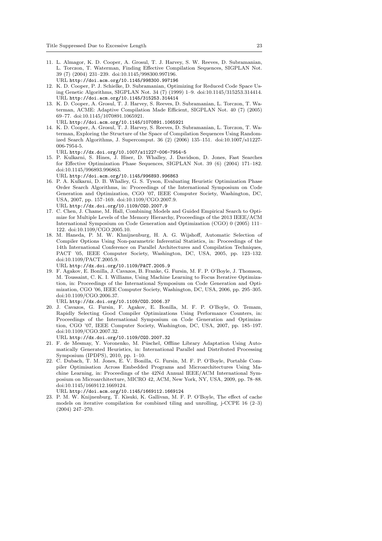- 11. L. Almagor, K. D. Cooper, A. Grosul, T. J. Harvey, S. W. Reeves, D. Subramanian, L. Torczon, T. Waterman, Finding Effective Compilation Sequences, SIGPLAN Not. 39 (7) (2004) 231–239. doi:10.1145/998300.997196. URL http://doi.acm.org/10.1145/998300.997196
- 12. K. D. Cooper, P. J. Schielke, D. Subramanian, Optimizing for Reduced Code Space Using Genetic Algorithms, SIGPLAN Not. 34 (7) (1999) 1–9. doi:10.1145/315253.314414. URL http://doi.acm.org/10.1145/315253.314414
- 13. K. D. Cooper, A. Grosul, T. J. Harvey, S. Reeves, D. Subramanian, L. Torczon, T. Waterman, ACME: Adaptive Compilation Made Efficient, SIGPLAN Not. 40 (7) (2005) 69–77. doi:10.1145/1070891.1065921.

URL http://doi.acm.org/10.1145/1070891.1065921

14. K. D. Cooper, A. Grosul, T. J. Harvey, S. Reeves, D. Subramanian, L. Torczon, T. Waterman, Exploring the Structure of the Space of Compilation Sequences Using Randomized Search Algorithms, J. Supercomput. 36 (2) (2006) 135–151. doi:10.1007/s11227- 006-7954-5.

URL http://dx.doi.org/10.1007/s11227-006-7954-5

15. P. Kulkarni, S. Hines, J. Hiser, D. Whalley, J. Davidson, D. Jones, Fast Searches for Effective Optimization Phase Sequences, SIGPLAN Not. 39 (6) (2004) 171–182. doi:10.1145/996893.996863.

URL http://doi.acm.org/10.1145/996893.996863

- 16. P. A. Kulkarni, D. B. Whalley, G. S. Tyson, Evaluating Heuristic Optimization Phase Order Search Algorithms, in: Proceedings of the International Symposium on Code Generation and Optimization, CGO '07, IEEE Computer Society, Washington, DC, USA, 2007, pp. 157–169. doi:10.1109/CGO.2007.9.
- URL http://dx.doi.org/10.1109/CGO.2007.9 17. C. Chen, J. Chame, M. Hall, Combining Models and Guided Empirical Search to Optimize for Multiple Levels of the Memory Hierarchy, Proceedings of the 2013 IEEE/ACM International Symposium on Code Generation and Optimization (CGO) 0 (2005) 111– 122. doi:10.1109/CGO.2005.10.
- 18. M. Haneda, P. M. W. Khnijnenburg, H. A. G. Wijshoff, Automatic Selection of Compiler Options Using Non-parametric Inferential Statistics, in: Proceedings of the 14th International Conference on Parallel Architectures and Compilation Techniques, PACT '05, IEEE Computer Society, Washington, DC, USA, 2005, pp. 123–132. doi:10.1109/PACT.2005.9.

URL http://dx.doi.org/10.1109/PACT.2005.9

19. F. Agakov, E. Bonilla, J. Cavazos, B. Franke, G. Fursin, M. F. P. O'Boyle, J. Thomson, M. Toussaint, C. K. I. Williams, Using Machine Learning to Focus Iterative Optimization, in: Proceedings of the International Symposium on Code Generation and Optimization, CGO '06, IEEE Computer Society, Washington, DC, USA, 2006, pp. 295–305. doi:10.1109/CGO.2006.37.

URL http://dx.doi.org/10.1109/CGO.2006.37

20. J. Cavazos, G. Fursin, F. Agakov, E. Bonilla, M. F. P. O'Boyle, O. Temam, Rapidly Selecting Good Compiler Optimizations Using Performance Counters, in: Proceedings of the International Symposium on Code Generation and Optimization, CGO '07, IEEE Computer Society, Washington, DC, USA, 2007, pp. 185–197. doi:10.1109/CGO.2007.32.

URL http://dx.doi.org/10.1109/CGO.2007.32

- 21. F. de Mesmay, Y. Voronenko, M. Püschel, Offline Library Adaptation Using Automatically Generated Heuristics, in: International Parallel and Distributed Processing Symposium (IPDPS), 2010, pp. 1–10.
- 22. C. Dubach, T. M. Jones, E. V. Bonilla, G. Fursin, M. F. P. O'Boyle, Portable Compiler Optimisation Across Embedded Programs and Microarchitectures Using Machine Learning, in: Proceedings of the 42Nd Annual IEEE/ACM International Symposium on Microarchitecture, MICRO 42, ACM, New York, NY, USA, 2009, pp. 78–88. doi:10.1145/1669112.1669124.

URL http://doi.acm.org/10.1145/1669112.1669124

23. P. M. W. Knijnenburg, T. Kisuki, K. Gallivan, M. F. P. O'Boyle, The effect of cache models on iterative compilation for combined tiling and unrolling, j-CCPE 16 (2–3) (2004) 247–270.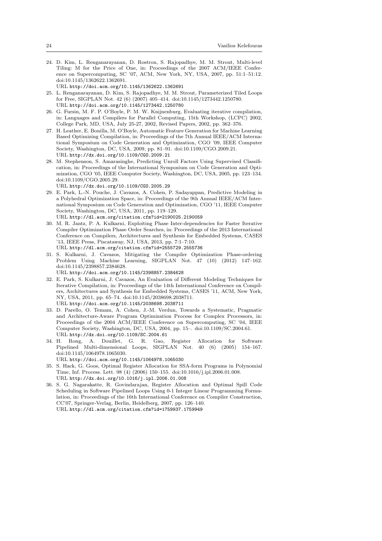- 24. D. Kim, L. Renganarayanan, D. Rostron, S. Rajopadhye, M. M. Strout, Multi-level Tiling: M for the Price of One, in: Proceedings of the 2007 ACM/IEEE Conference on Supercomputing, SC '07, ACM, New York, NY, USA, 2007, pp. 51:1–51:12. doi:10.1145/1362622.1362691.
	- URL http://doi.acm.org/10.1145/1362622.1362691
- 25. L. Renganarayanan, D. Kim, S. Rajopadhye, M. M. Strout, Parameterized Tiled Loops for Free, SIGPLAN Not. 42 (6) (2007) 405–414. doi:10.1145/1273442.1250780. URL http://doi.acm.org/10.1145/1273442.1250780
- 26. G. Fursin, M. F. P. O'Boyle, P. M. W. Knijnenburg, Evaluating iterative compilation, in: Languages and Compilers for Parallel Computing, 15th Workshop, (LCPC) 2002, College Park, MD, USA, July 25-27, 2002, Revised Papers, 2002, pp. 362–376.
- 27. H. Leather, E. Bonilla, M. O'Boyle, Automatic Feature Generation for Machine Learning Based Optimizing Compilation, in: Proceedings of the 7th Annual IEEE/ACM International Symposium on Code Generation and Optimization, CGO '09, IEEE Computer Society, Washington, DC, USA, 2009, pp. 81–91. doi:10.1109/CGO.2009.21. URL http://dx.doi.org/10.1109/CGO.2009.21
- 28. M. Stephenson, S. Amarasinghe, Predicting Unroll Factors Using Supervised Classification, in: Proceedings of the International Symposium on Code Generation and Optimization, CGO '05, IEEE Computer Society, Washington, DC, USA, 2005, pp. 123–134. doi:10.1109/CGO.2005.29.

URL http://dx.doi.org/10.1109/CGO.2005.29

- 29. E. Park, L.-N. Pouche, J. Cavazos, A. Cohen, P. Sadayappan, Predictive Modeling in a Polyhedral Optimization Space, in: Proceedings of the 9th Annual IEEE/ACM International Symposium on Code Generation and Optimization, CGO '11, IEEE Computer Society, Washington, DC, USA, 2011, pp. 119–129.
- URL http://dl.acm.org/citation.cfm?id=2190025.2190059 30. M. R. Jantz, P. A. Kulkarni, Exploiting Phase Inter-dependencies for Faster Iterative Compiler Optimization Phase Order Searches, in: Proceedings of the 2013 International Conference on Compilers, Architectures and Synthesis for Embedded Systems, CASES '13, IEEE Press, Piscataway, NJ, USA, 2013, pp. 7:1–7:10. URL http://dl.acm.org/citation.cfm?id=2555729.2555736
- 31. S. Kulkarni, J. Cavazos, Mitigating the Compiler Optimization Phase-ordering Problem Using Machine Learning, SIGPLAN Not. 47 (10) (2012) 147–162. doi:10.1145/2398857.2384628.

URL http://doi.acm.org/10.1145/2398857.2384628

- 32. E. Park, S. Kulkarni, J. Cavazos, An Evaluation of Different Modeling Techniques for Iterative Compilation, in: Proceedings of the 14th International Conference on Compilers, Architectures and Synthesis for Embedded Systems, CASES '11, ACM, New York, NY, USA, 2011, pp. 65–74. doi:10.1145/2038698.2038711. URL http://doi.acm.org/10.1145/2038698.2038711
- 33. D. Parello, O. Temam, A. Cohen, J.-M. Verdun, Towards a Systematic, Pragmatic and Architecture-Aware Program Optimization Process for Complex Processors, in: Proceedings of the 2004 ACM/IEEE Conference on Supercomputing, SC '04, IEEE Computer Society, Washington, DC, USA, 2004, pp. 15–. doi:10.1109/SC.2004.61. URL http://dx.doi.org/10.1109/SC.2004.61
- 34. H. Rong, A. Douillet, G. R. Gao, Register Allocation for Software Pipelined Multi-dimensional Loops, SIGPLAN Not. 40 (6) (2005) 154–167. doi:10.1145/1064978.1065030.

URL http://doi.acm.org/10.1145/1064978.1065030

- 35. S. Hack, G. Goos, Optimal Register Allocation for SSA-form Programs in Polynomial Time, Inf. Process. Lett. 98 (4) (2006) 150–155. doi:10.1016/j.ipl.2006.01.008. URL http://dx.doi.org/10.1016/j.ipl.2006.01.008
- 36. S. G. Nagarakatte, R. Govindarajan, Register Allocation and Optimal Spill Code Scheduling in Software Pipelined Loops Using 0-1 Integer Linear Programming Formulation, in: Proceedings of the 16th International Conference on Compiler Construction, CC'07, Springer-Verlag, Berlin, Heidelberg, 2007, pp. 126–140. URL http://dl.acm.org/citation.cfm?id=1759937.1759949